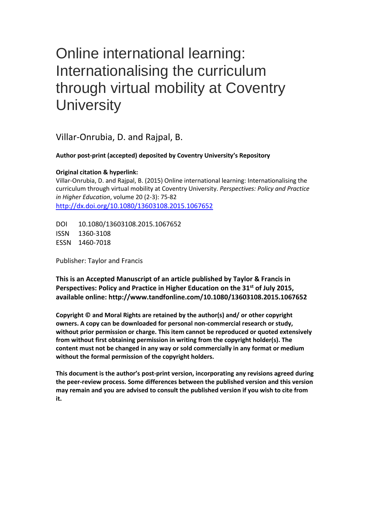# Online international learning: Internationalising the curriculum through virtual mobility at Coventry **University**

Villar-Onrubia, D. and Rajpal, B.

**Author post-print (accepted) deposited by Coventry University's Repository**

# **Original citation & hyperlink:**

Villar-Onrubia, D. and Rajpal, B. (2015) Online international learning: Internationalising the curriculum through virtual mobility at Coventry University. *Perspectives: Policy and Practice in Higher Education*, volume 20 (2-3): 75-82 <http://dx.doi.org/10.1080/13603108.2015.1067652>

DOI 10.1080/13603108.2015.1067652 ISSN 1360-3108 ESSN 1460-7018

Publisher: Taylor and Francis

**This is an Accepted Manuscript of an article published by Taylor & Francis in Perspectives: Policy and Practice in Higher Education on the 31st of July 2015, available online: http://www.tandfonline.com/10.1080/13603108.2015.1067652**

**Copyright © and Moral Rights are retained by the author(s) and/ or other copyright owners. A copy can be downloaded for personal non-commercial research or study, without prior permission or charge. This item cannot be reproduced or quoted extensively from without first obtaining permission in writing from the copyright holder(s). The content must not be changed in any way or sold commercially in any format or medium without the formal permission of the copyright holders.** 

**This document is the author's post-print version, incorporating any revisions agreed during the peer-review process. Some differences between the published version and this version may remain and you are advised to consult the published version if you wish to cite from it.**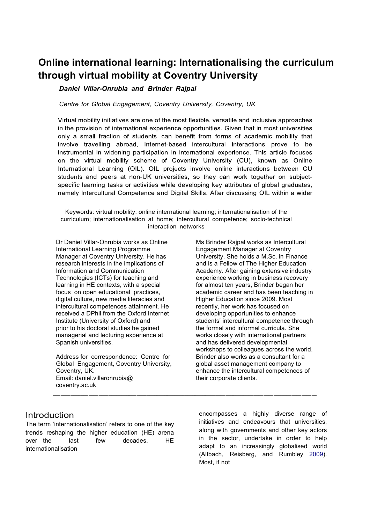# **Online international learning: Internationalising the curriculum through virtual mobility at Coventry University**

*Daniel Villar-Onrubia and Brinder Rajpal*

*Centre for Global Engagement, Coventry University, Coventry, UK*

Virtual mobility initiatives are one of the most flexible, versatile and inclusive approaches in the provision of international experience opportunities. Given that in most universities only a small fraction of students can benefit from forms of academic mobility that involve travelling abroad, Internet-based intercultural interactions prove to be instrumental in widening participation in international experience. This article focuses on the virtual mobility scheme of Coventry University (CU), known as Online International Learning (OIL). OIL projects involve online interactions between CU students and peers at non-UK universities, so they can work together on subjectspecific learning tasks or activities while developing key attributes of global graduates, namely Intercultural Competence and Digital Skills. After discussing OIL within a wider

Keywords: virtual mobility; online international learning; internationalisation of the curriculum; internationalisation at home; intercultural competence; socio-technical interaction networks

\_\_\_\_\_\_\_\_\_\_\_\_\_\_\_\_\_\_\_\_\_\_\_\_\_\_\_\_\_\_\_\_\_\_\_\_\_\_\_\_\_\_\_\_\_\_\_\_\_\_\_\_\_\_\_\_\_\_\_\_\_\_\_\_\_\_\_\_\_\_\_\_\_\_\_\_\_\_\_\_\_\_\_\_\_\_\_\_\_\_\_\_\_\_\_\_\_\_\_\_\_\_\_\_

Dr Daniel Villar-Onrubia works as Online International Learning Programme Manager at Coventry University. He has research interests in the implications of Information and Communication Technologies (ICTs) for teaching and learning in HE contexts, with a special focus on open educational practices, digital culture, new media literacies and intercultural competences attainment. He received a DPhil from the Oxford Internet Institute (University of Oxford) and prior to his doctoral studies he gained managerial and lecturing experience at Spanish universities.

Address for correspondence: Centre for Global Engagement, Coventry University, Coventry, UK. Email: daniel.villaronrubia@ coventry.ac.uk

Ms Brinder Rajpal works as Intercultural Engagement Manager at Coventry University. She holds a M.Sc. in Finance and is a Fellow of The Higher Education Academy. After gaining extensive industry experience working in business recovery for almost ten years, Brinder began her academic career and has been teaching in Higher Education since 2009. Most recently, her work has focused on developing opportunities to enhance students' intercultural competence through the formal and informal curricula. She works closely with international partners and has delivered developmental workshops to colleagues across the world. Brinder also works as a consultant for a global asset management company to enhance the intercultural competences of their corporate clients.

# **Introduction**

The term 'internationalisation' refers to one of the key trends reshaping the higher education (HE) arena over the last few decades. HE internationalisation

encompasses a highly diverse range of initiatives and endeavours that universities, along with governments and other key actors in the sector, undertake in order to help adapt to an increasingly globalised world (Altbach, Reisberg, and Rumbley 2009). Most, if not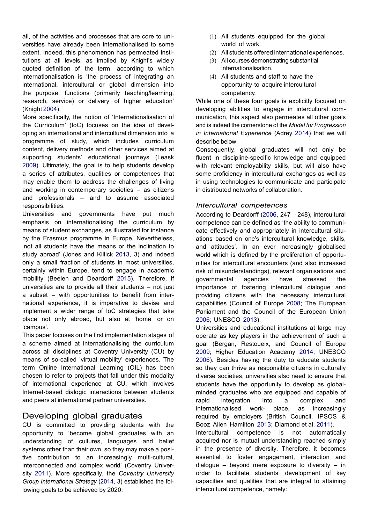all, of the activities and processes that are core to universities have already been internationalised to some extent. Indeed, this phenomenon has permeated institutions at all levels, as implied by Knight's widely quoted definition of the term, according to which internationalisation is 'the process of integrating an international, intercultural or global dimension into the purpose, functions (primarily teaching/learning, research, service) or delivery of higher education' (Knight 2004).

More specifically, the notion of 'Internationalisation of the Curriculum' (IoC) focuses on the idea of developing an international and intercultural dimension into a programme of study, which includes curriculum content, delivery methods and other services aimed at supporting students' educational journeys (Leask 2009). Ultimately, the goal is to help students develop a series of attributes, qualities or competences that may enable them to address the challenges of living and working in contemporary societies – as citizens and professionals – and to assume associated responsibilities.

Universities and governments have put much emphasis on internationalising the curriculum by means of student exchanges, as illustrated for instance by the Erasmus programme in Europe. Nevertheless, 'not all students have the means or the inclination to study abroad' (Jones and Killick 2013, 3) and indeed only a small fraction of students in most universities, certainly within Europe, tend to engage in academic mobility (Beelen and Deardorff 2015). Therefore, if universities are to provide all their students – not just a subset – with opportunities to benefit from international experience, it is imperative to devise and implement a wider range of IoC strategies that take place not only abroad, but also at 'home' or on 'campus'.

This paper focuses on the first implementation stages of a scheme aimed at internationalising the curriculum across all disciplines at Coventry University (CU) by means of so-called 'virtual mobility' experiences. The term Online International Learning (OIL) has been chosen to refer to projects that fall under this modality of international experience at CU, which involves Internet-based dialogic interactions between students and peers at international partner universities.

# Developing global graduates

CU is committed to providing students with the opportunity to 'become global graduates with an understanding of cultures, languages and belief systems other than their own, so they may make a positive contribution to an increasingly multi-cultural, interconnected and complex world' (Coventry University 2011). More specifically, the *Coventry University Group International Strategy* (2014, 3) established the following goals to be achieved by 2020:

- (1) All students equipped for the global world of work.
- (2) All students offered international experiences.
- (3) All courses demonstrating substantial internationalisation.
- (4) All students and staff to have the opportunity to acquire intercultural competency.

While one of these four goals is explicitly focused on developing abilities to engage in intercultural communication, this aspect also permeates all other goals and is indeed the cornerstone of the *Model for Progression in International Experience* (Adrey 2014) that we will describe below.

Consequently, global graduates will not only be fluent in discipline-specific knowledge and equipped with relevant employability skills, but will also have some proficiency in intercultural exchanges as well as in using technologies to communicate and participate in distributed networks of collaboration.

### *Intercultural competences*

According to Deardorff (2006, 247 – 248), intercultural competence can be defined as 'the ability to communicate effectively and appropriately in intercultural situations based on one's intercultural knowledge, skills, and attitudes'. In an ever increasingly globalised world which is defined by the proliferation of opportunities for intercultural encounters (and also increased risk of misunderstandings), relevant organisations and governmental agencies have stressed the importance of fostering intercultural dialogue and providing citizens with the necessary intercultural capabilities (Council of Europe 2008; The European Parliament and the Council of the European Union 2006; UNESCO 2013).

Universities and educational institutions at large may operate as key players in the achievement of such a goal (Bergan, Restoueix, and Council of Europe 2009; Higher Education Academy 2014; UNESCO 2006). Besides having the duty to educate students so they can thrive as responsible citizens in culturally diverse societies, universities also need to ensure that students have the opportunity to develop as globalminded graduates who are equipped and capable of rapid integration into a complex and internationalised work- place, as increasingly required by employers (British Council, IPSOS & Booz Allen Hamilton 2013; Diamond et al. 2011). Intercultural competence is not automatically

acquired nor is mutual understanding reached simply in the presence of diversity. Therefore, it becomes essential to foster engagement, interaction and dialogue – beyond mere exposure to diversity – in order to facilitate students' development of key capacities and qualities that are integral to attaining intercultural competence, namely: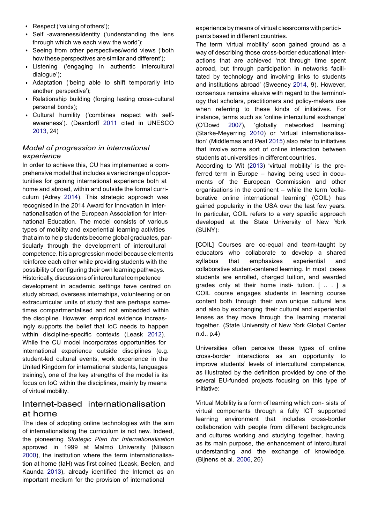- $\cdot$  Respect ('valuing of others');
- Self -awareness/identity ('understanding the lens through which we each view the world');
- Seeing from other perspectives/world views ('both how these perspectives are similar and different');
- Listening ('engaging in authentic intercultural dialogue');
- Adaptation ('being able to shift temporarily into another perspective');
- Relationship building (forging lasting cross-cultural personal bonds);
- Cultural humility ('combines respect with selfawareness'). (Deardorff 2011 cited in UNESCO 2013, 24)

# *Model of progression in international experience*

In order to achieve this, CU has implemented a comprehensive model that includes a varied range of opportunities for gaining international experience both at home and abroad, within and outside the formal curriculum (Adrey 2014). This strategic approach was recognised in the 2014 Award for Innovation in Internationalisation of the European Association for International Education. The model consists of various types of mobility and experiential learning activities that aim to help students become global graduates, particularly through the development of intercultural competence. It is a progression model because elements reinforce each other while providing students with the possibility of configuring their own learning pathways. Historically, discussions of intercultural competence development in academic settings have centred on study abroad, overseas internships, volunteering or on extracurricular units of study that are perhaps sometimes compartmentalised and not embedded within the discipline. However, empirical evidence increasingly supports the belief that IoC needs to happen within discipline-specific contexts (Leask 2012). While the CU model incorporates opportunities for international experience outside disciplines (e.g. student-led cultural events, work experience in the United Kingdom for international students, languages training), one of the key strengths of the model is its focus on IoC within the disciplines, mainly by means of virtual mobility.

# Internet-based internationalisation at home

The idea of adopting online technologies with the aim of internationalising the curriculum is not new. Indeed, the pioneering *Strategic Plan for Internationalisation* approved in 1999 at Malmö University (Nilsson 2000), the institution where the term internationalisation at home (IaH) was first coined (Leask, Beelen, and Kaunda 2013), already identified the Internet as an important medium for the provision of international

experience by means of virtual classrooms with participants based in different countries.

The term 'virtual mobility' soon gained ground as a way of describing those cross-border educational interactions that are achieved 'not through time spent abroad, but through participation in networks facilitated by technology and involving links to students and institutions abroad' (Sweeney 2014, 9). However, consensus remains elusive with regard to the terminology that scholars, practitioners and policy-makers use when referring to these kinds of initiatives. For instance, terms such as 'online intercultural exchange' (O'Dowd 2007), 'globally networked learning' (Starke-Meyerring 2010) or 'virtual internationalisation' (Middlemas and Peat 2015) also refer to initiatives that involve some sort of online interaction between students at universities in different countries.

According to Wit (2013) 'virtual mobility' is the preferred term in Europe – having being used in documents of the European Commission and other organisations in the continent – while the term 'collaborative online international learning' (COIL) has gained popularity in the USA over the last few years. In particular, COIL refers to a very specific approach developed at the State University of New York (SUNY):

[COIL] Courses are co-equal and team-taught by educators who collaborate to develop a shared syllabus that emphasizes experiential and collaborative student-centered learning. In most cases students are enrolled, charged tuition, and awarded grades only at their home insti- tution. [ .. . ] a COIL course engages students in learning course content both through their own unique cultural lens and also by exchanging their cultural and experiential lenses as they move through the learning material together. (State University of New York Global Center n.d., p.4)

Universities often perceive these types of online cross-border interactions as an opportunity to improve students' levels of intercultural competence, as illustrated by the definition provided by one of the several EU-funded projects focusing on this type of initiative:

Virtual Mobility is a form of learning which con- sists of virtual components through a fully ICT supported learning environment that includes cross-border collaboration with people from different backgrounds and cultures working and studying together, having, as its main purpose, the enhancement of intercultural understanding and the exchange of knowledge. (Bijnens et al. 2006, 26)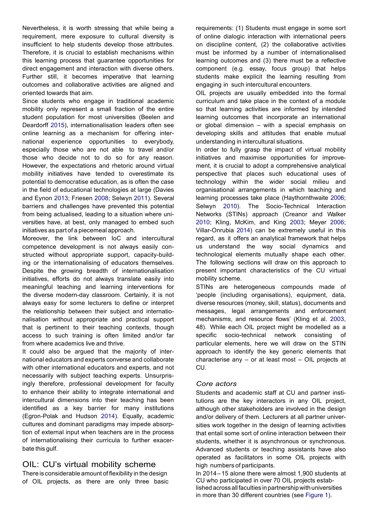Nevertheless, it is worth stressing that while being a requirement, mere exposure to cultural diversity is insufficient to help students develop those attributes. Therefore, it is crucial to establish mechanisms within this learning process that guarantee opportunities for direct engagement and interaction with diverse others. Further still, it becomes imperative that learning outcomes and collaborative activities are aligned and oriented towards that aim.

Since students who engage in traditional academic mobility only represent a small fraction of the entire student population for most universities (Beelen and Deardorff 2015), internationalisation leaders often see online learning as a mechanism for offering international experience opportunities to everybody, especially those who are not able to travel and/or those who decide not to do so for any reason. However, the expectations and rhetoric around virtual mobility initiatives have tended to overestimate its potential to democratise education, as is often the case in the field of educational technologies at large (Davies and Eynon 2013; Friesen 2008; Selwyn 2011). Several barriers and challenges have prevented this potential from being actualised, leading to a situation where universities have, at best, only managed to embed such initiatives as part of a piecemeal approach.

Moreover, the link between IoC and intercultural competence development is not always easily constructed without appropriate support, capacity-building or the internationalising of educators themselves. Despite the growing breadth of internationalisation initiatives, efforts do not always translate easily into meaningful teaching and learning interventions for the diverse modern-day classroom. Certainly, it is not always easy for some lecturers to define or interpret the relationship between their subject and internationalisation without appropriate and practical support that is pertinent to their teaching contexts, though access to such training is often limited and/or far from where academics live and thrive.

It could also be argued that the majority of international educators and experts converse and collaborate with other international educators and experts, and not necessarily with subject teaching experts. Unsurprisingly therefore, professional development for faculty to enhance their ability to integrate international and intercultural dimensions into their teaching has been identified as a key barrier for many institutions (Egron-Polak and Hudson 2014). Equally, academic cultures and dominant paradigms may impede absorption of external input when teachers are in the process of internationalising their curricula to further exacerbate this gulf.

# OIL: CU's virtual mobility scheme

There is considerable amount of flexibility in the design of OIL projects, as there are only three basic

requirements: (1) Students must engage in some sort of online dialogic interaction with international peers on discipline content, (2) the collaborative activities must be informed by a number of internationalised learning outcomes and (3) there must be a reflective component (e.g. essay, focus group) that helps students make explicit the learning resulting from engaging in such intercultural encounters.

OIL projects are usually embedded into the formal curriculum and take place in the context of a module so that learning activities are informed by intended learning outcomes that incorporate an international or global dimension – with a special emphasis on developing skills and attitudes that enable mutual understanding in intercultural situations.

In order to fully grasp the impact of virtual mobility initiatives and maximise opportunities for improvement, it is crucial to adopt a comprehensive analytical perspective that places such educational uses of technology within the wider social milieu and organisational arrangements in which teaching and learning processes take place (Haythornthwaite 2006; Selwyn 2010). The Socio-Technical Interaction Networks (STINs) approach (Creanor and Walker 2010; Kling, McKim, and King 2003; Meyer 2006; Villar-Onrubia 2014) can be extremely useful in this regard, as it offers an analytical framework that helps us understand the way social dynamics and technological elements mutually shape each other. The following sections will draw on this approach to present important characteristics of the CU virtual mobility scheme.

STINs are heterogeneous compounds made of 'people (including organisations), equipment, data, diverse resources (money, skill, status), documents and messages, legal arrangements and enforcement mechanisms, and resource flows' (Kling et al. 2003, 48). While each OIL project might be modelled as a specific socio-technical network consisting of particular elements, here we will draw on the STIN approach to identify the key generic elements that characterise any – or at least most – OIL projects at CU.

# *Core actors*

Students and academic staff at CU and partner institutions are the key interactors in any OIL project, although other stakeholders are involved in the design and/or delivery of them. Lecturers at all partner universities work together in the design of learning activities that entail some sort of online interaction between their students, whether it is asynchronous or synchronous. Advanced students or teaching assistants have also operated as facilitators in some OIL projects with high numbers of participants.

In 2014–15 alone there were almost 1,900 students at CU who participated in over 70 OIL projects established across all faculties in partnership with universities in more than 30 different countries (see Figure 1).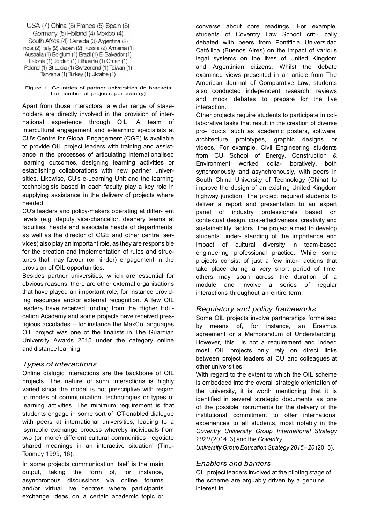USA (7) China (5) France (5) Spain (5) Germany (5) Holland (4) Mexico (4) South Africa (4) Canada (3) Argentina (2) India (2) Italy (2) Japan (2) Russia (2) Armenia (1) Australia (1) Belgium (1) Brazil (1) El Salvador (1) Estonia (1) Jordan (1) Lithuania (1) Oman (1) Poland (1) St Lucia (1) Switzerland (1) Taiwan (1) Tanzania (1) Turkey (1) Ukraine (1)

#### Figure 1. Countries of partner universities (in brackets the number of projects per country)

Apart from those interactors, a wider range of stakeholders are directly involved in the provision of international experience through OIL. A team of intercultural engagement and e-learning specialists at CU's Centre for Global Engagement (CGE) is available to provide OIL project leaders with training and assistance in the processes of articulating internationalised learning outcomes, designing learning activities or establishing collaborations with new partner universities. Likewise, CU's e-Learning Unit and the learning technologists based in each faculty play a key role in supplying assistance in the delivery of projects where needed.

CU's leaders and policy-makers operating at differ- ent levels (e.g. deputy vice-chancellor, deanery teams at faculties, heads and associate heads of departments, as well as the director of CGE and other central services) also play an important role, as they are responsible for the creation and implementation of rules and structures that may favour (or hinder) engagement in the provision of OIL opportunities.

Besides partner universities, which are essential for obvious reasons, there are other external organisations that have played an important role, for instance providing resources and/or external recognition. A few OIL leaders have received funding from the Higher Education Academy and some projects have received prestigious accolades – for instance the MexCo languages OIL project was one of the finalists in The Guardian University Awards 2015 under the category online and distance learning.

# *Types of interactions*

Online dialogic interactions are the backbone of OIL projects. The nature of such interactions is highly varied since the model is not prescriptive with regard to modes of communication, technologies or types of learning activities. The minimum requirement is that students engage in some sort of ICT-enabled dialogue with peers at international universities, leading to a 'symbolic exchange process whereby individuals from two (or more) different cultural communities negotiate shared meanings in an interactive situation' (Ting-Toomey 1999, 16).

In some projects communication itself is the main output, taking the form of, for instance, asynchronous discussions via online forums and/or virtual live debates where participants exchange ideas on a certain academic topic or

converse about core readings. For example, students of Coventry Law School criti- cally debated with peers from Pontificia Universidad Cató lica (Buenos Aires) on the impact of various legal systems on the lives of United Kingdom and Argentinian citizens. Whilst the debate examined views presented in an article from The American Journal of Comparative Law, students also conducted independent research, reviews and mock debates to prepare for the live interaction.

Other projects require students to participate in collaborative tasks that result in the creation of diverse pro- ducts, such as academic posters, software, architecture prototypes, graphic designs or videos. For example, Civil Engineering students from CU School of Energy, Construction & Environment worked colla- boratively, both synchronously and asynchronously, with peers in South China University of Technology (China) to improve the design of an existing United Kingdom highway junction. The project required students to deliver a report and presentation to an expert panel of industry professionals based on contextual design, cost-effectiveness, creativity and sustainability factors. The project aimed to develop students' under- standing of the importance and impact of cultural diversity in team-based engineering professional practice. While some projects consist of just a few inter- actions that take place during a very short period of time, others may span across the duration of a module and involve a series of regular interactions throughout an entire term.

# *Regulatory and policy frameworks*

Some OIL projects involve partnerships formalised by means of, for instance, an Erasmus agreement or a Memorandum of Understanding. However, this is not a requirement and indeed most OIL projects only rely on direct links between project leaders at CU and colleagues at other universities.

With regard to the extent to which the OIL scheme is embedded into the overall strategic orientation of the university, it is worth mentioning that it is identified in several strategic documents as one of the possible instruments for the delivery of the institutional commitment to offer international experiences to all students, most notably in the *Coventry University Group International Strategy 2020* (2014, 3) and the *Coventry*

*University Group Education Strategy 2015–20* (2015).

# *Enablers and barriers*

OIL project leaders involved at the piloting stage of the scheme are arguably driven by a genuine interest in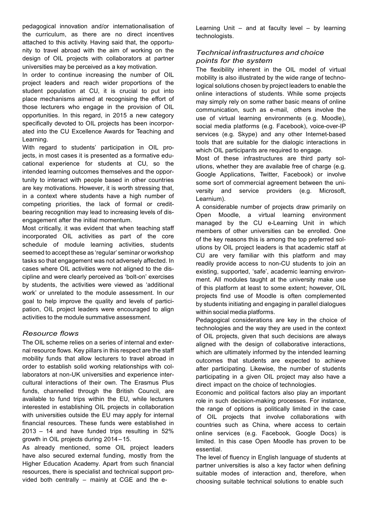pedagogical innovation and/or internationalisation of the curriculum, as there are no direct incentives attached to this activity. Having said that, the opportunity to travel abroad with the aim of working on the design of OIL projects with collaborators at partner universities may be perceived as a key motivation.

In order to continue increasing the number of OIL project leaders and reach wider proportions of the student population at CU, it is crucial to put into place mechanisms aimed at recognising the effort of those lecturers who engage in the provision of OIL opportunities. In this regard, in 2015 a new category specifically devoted to OIL projects has been incorporated into the CU Excellence Awards for Teaching and Learning.

With regard to students' participation in OIL projects, in most cases it is presented as a formative educational experience for students at CU, so the intended learning outcomes themselves and the opportunity to interact with people based in other countries are key motivations. However, it is worth stressing that, in a context where students have a high number of competing priorities, the lack of formal or creditbearing recognition may lead to increasing levels of disengagement after the initial momentum.

Most critically, it was evident that when teaching staff incorporated OIL activities as part of the core schedule of module learning activities, students seemed to accept these as 'regular' seminar or workshop tasks so that engagement was not adversely affected. In cases where OIL activities were not aligned to the discipline and were clearly perceived as 'bolt-on' exercises by students, the activities were viewed as 'additional work' or unrelated to the module assessment. In our goal to help improve the quality and levels of participation, OIL project leaders were encouraged to align activities to the module summative assessment.

# *Resource flows*

The OIL scheme relies on a series of internal and external resource flows. Key pillars in this respect are the staff mobility funds that allow lecturers to travel abroad in order to establish solid working relationships with collaborators at non-UK universities and experience intercultural interactions of their own. The Erasmus Plus funds, channelled through the British Council, are available to fund trips within the EU, while lecturers interested in establishing OIL projects in collaboration with universities outside the EU may apply for internal financial resources. These funds were established in 2013 – 14 and have funded trips resulting in 52% growth in OIL projects during 2014–15.

As already mentioned, some OIL project leaders have also secured external funding, mostly from the Higher Education Academy. Apart from such financial resources, there is specialist and technical support provided both centrally – mainly at CGE and the e-

Learning Unit  $-$  and at faculty level  $-$  by learning technologists.

# *Technical infrastructures and choice points for the system*

The flexibility inherent in the OIL model of virtual mobility is also illustrated by the wide range of technological solutions chosen by project leaders to enable the online interactions of students. While some projects may simply rely on some rather basic means of online communication, such as e-mail, others involve the use of virtual learning environments (e.g. Moodle), social media platforms (e.g. Facebook), voice-over-IP services (e.g. Skype) and any other Internet-based tools that are suitable for the dialogic interactions in which OIL participants are required to engage.

Most of these infrastructures are third party solutions, whether they are available free of charge (e.g. Google Applications, Twitter, Facebook) or involve some sort of commercial agreement between the university and service providers (e.g. Microsoft, Learnium).

A considerable number of projects draw primarily on Open Moodle, a virtual learning environment managed by the CU e-Learning Unit in which members of other universities can be enrolled. One of the key reasons this is among the top preferred solutions by OIL project leaders is that academic staff at CU are very familiar with this platform and may readily provide access to non-CU students to join an existing, supported, 'safe', academic learning environment. All modules taught at the university make use of this platform at least to some extent; however, OIL projects find use of Moodle is often complemented by students initiating and engaging in parallel dialogues within social media platforms.

Pedagogical considerations are key in the choice of technologies and the way they are used in the context of OIL projects, given that such decisions are always aligned with the design of collaborative interactions, which are ultimately informed by the intended learning outcomes that students are expected to achieve after participating. Likewise, the number of students participating in a given OIL project may also have a direct impact on the choice of technologies.

Economic and political factors also play an important role in such decision-making processes. For instance, the range of options is politically limited in the case of OIL projects that involve collaborations with countries such as China, where access to certain online services (e.g. Facebook, Google Docs) is limited. In this case Open Moodle has proven to be essential.

The level of fluency in English language of students at partner universities is also a key factor when defining suitable modes of interaction and, therefore, when choosing suitable technical solutions to enable such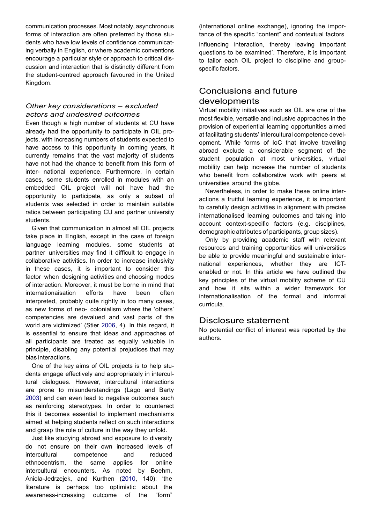communication processes. Most notably, asynchronous forms of interaction are often preferred by those students who have low levels of confidence communicating verbally in English, or where academic conventions encourage a particular style or approach to critical discussion and interaction that is distinctly different from the student-centred approach favoured in the United Kingdom.

### *Other key considerations – excluded actors and undesired outcomes*

Even though a high number of students at CU have already had the opportunity to participate in OIL projects, with increasing numbers of students expected to have access to this opportunity in coming years, it currently remains that the vast majority of students have not had the chance to benefit from this form of inter- national experience. Furthermore, in certain cases, some students enrolled in modules with an embedded OIL project will not have had the opportunity to participate, as only a subset of students was selected in order to maintain suitable ratios between participating CU and partner university students.

Given that communication in almost all OIL projects take place in English, except in the case of foreign language learning modules, some students at partner universities may find it difficult to engage in collaborative activities. In order to increase inclusivity in these cases, it is important to consider this factor when designing activities and choosing modes of interaction. Moreover, it must be borne in mind that internationaisation efforts have been often interpreted, probably quite rightly in too many cases, as new forms of neo- colonialism where the 'others' competencies are devalued and vast parts of the world are victimized' (Stier 2006, 4). In this regard, it is essential to ensure that ideas and approaches of all participants are treated as equally valuable in principle, disabling any potential prejudices that may bias interactions.

One of the key aims of OIL projects is to help students engage effectively and appropriately in intercultural dialogues. However, intercultural interactions are prone to misunderstandings (Lago and Barty 2003) and can even lead to negative outcomes such as reinforcing stereotypes. In order to counteract this it becomes essential to implement mechanisms aimed at helping students reflect on such interactions and grasp the role of culture in the way they unfold.

Just like studying abroad and exposure to diversity do not ensure on their own increased levels of intercultural competence and reduced ethnocentrism, the same applies for online intercultural encounters. As noted by Boehm, Aniola-Jedrzejek, and Kurthen (2010, 140): 'the literature is perhaps too optimistic about the awareness-increasing outcome of the "form"

(international online exchange), ignoring the importance of the specific "content" and contextual factors influencing interaction, thereby leaving important questions to be examined'. Therefore, it is important to tailor each OIL project to discipline and groupspecific factors.

# Conclusions and future developments

Virtual mobility initiatives such as OIL are one of the most flexible, versatile and inclusive approaches in the provision of experiential learning opportunities aimed at facilitating students' intercultural competence development. While forms of IoC that involve travelling abroad exclude a considerable segment of the student population at most universities, virtual mobility can help increase the number of students who benefit from collaborative work with peers at universities around the globe.

Nevertheless, in order to make these online interactions a fruitful learning experience, it is important to carefully design activities in alignment with precise internationalised learning outcomes and taking into account context-specific factors (e.g. disciplines, demographic attributes of participants, group sizes).

Only by providing academic staff with relevant resources and training opportunities will universities be able to provide meaningful and sustainable international experiences, whether they are ICTenabled or not. In this article we have outlined the key principles of the virtual mobility scheme of CU and how it sits within a wider framework for internationalisation of the formal and informal curricula.

# Disclosure statement

No potential conflict of interest was reported by the authors.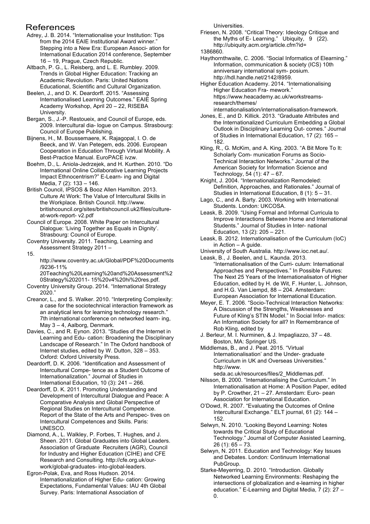# References

Adrey, J. B. 2014. "Internationalise your Institution: Tips from the 2014 EAIE Institutional Award winner." Stepping into a New Era: European Associ- ation for International Education 2014 conference, September 16 – 19, Prague, Czech Republic.

Altbach, P. G., L. Reisberg, and L. E. Rumbley. 2009. Trends in Global Higher Education: Tracking an Academic Revolution. Paris: United Nations Educational, Scientific and Cultural Organization.

Beelen, J., and D. K. Deardorff. 2015. "Assessing Internationalised Learning Outcomes." EAIE Spring Academy Workshop, April 20 – 22, RISEBA University.

Bergan, S., J.-P. Restoueix, and Council of Europe, eds. 2009. Intercultural dia- logue on Campus. Strasbourg: Council of Europe Publishing.

Bijnens, H., M. Boussemaere, K. Rajagopal, I. O. de Beeck, and W. Van Petegem, eds. 2006. European Cooperation in Education Through Virtual Mobility. A Best-Practice Manual. EuroPACE ivzw.

Boehm, D., L. Aniola-Jedrzejek, and H. Kurthen. 2010. "Do International Online Collaborative Learning Projects Impact Ethnocentrism?" E-Learn- ing and Digital Media, 7 (2): 133 – 146.

British Council, IPSOS & Booz Allen Hamilton. 2013. Culture At Work: The Value of Intercultural Skills in the Workplace. British Council. http://www. britishcouncil.org/sites/britishcouncil.uk2/files/cultureat-work-report- v2.pdf

Council of Europe. 2008. White Paper on Intercultural Dialogue: 'Living Together as Equals in Dignity'. Strasbourg: Council of Europe.

Coventry University. 2011. Teaching, Learning and Assessment Strategy 2011 –

15. http://www.coventry.ac.uk/Global/PDF%20Documents /9236-11% 20Teaching%20Learning%20and%20Assessment%2

0Strategy%202011- 15%20v4%20hi%20res.pdf.

Coventry University Group. 2014. "International Strategy 2020."

Creanor, L., and S. Walker. 2010. "Interpreting Complexity: a case for the sociotechnical interaction framework as an analytical lens for learning technology research." 7th international conference on networked learn- ing, May 3 – 4, Aalborg, Denmark.

Davies, C., and R. Eynon. 2013. "Studies of the Internet in Learning and Edu- cation: Broadening the Disciplinary Landscape of Research." In The Oxford handbook of Internet studies, edited by W. Dutton, 328 – 353. Oxford: Oxford University Press.

Deardorff, D. K. 2006. "Identification and Assessment of Intercultural Compe- tence as a Student Outcome of Internationalization." Journal of Studies in International Education, 10 (3): 241 – 266.

Deardorff, D. K. 2011. Promoting Understanding and Development of Intercultural Dialogue and Peace: A Comparative Analysis and Global Perspective of Regional Studies on Intercultural Competence. Report of the State of the Arts and Perspec- tives on Intercultural Competences and Skills. Paris: UNESCO.

Diamond, A., L. Walkley, P. Forbes, T. Hughes, and J. Sheen. 2011. Global Graduates into Global Leaders. Association of Graduate Recruiters (AGR), Council for Industry and Higher Education (CIHE) and CFE Research and Consulting. http://cfe.org.uk/ourwork/global-graduates- into-global-leaders.

Egron-Polak, Eva, and Ross Hudson. 2014. Internationalization of Higher Edu- cation: Growing Expectations, Fundamental Values: IAU 4th Global Survey. Paris: International Association of

Universities.

Friesen, N. 2008. "Critical Theory: Ideology Critique and the Myths of E- Learning." Ubiquity, 9 (22). http://ubiquity.acm.org/article.cfm?id=

1386860.

Haythornthwaite, C. 2006. "Social Informatics of Elearning." Information, communication & society (ICS) 10th anniversary international sym- posium. http://hdl.handle.net/2142/8959.

Higher Education Academy. 2014. "Internationalising Higher Education Fra- mework." https://www.heacademy.ac.uk/workstreamsresearch/themes/

internationalisation/internationalisation-framework. Jones, E., and D. Killick. 2013. "Graduate Attributes and the Internationalized Curriculum Embedding a Global Outlook in Disciplinary Learning Out- comes." Journal of Studies in International Education, 17 (2): 165 – 182.

Kling, R., G. McKim, and A. King. 2003. "A Bit More To It: Scholarly Com- munication Forums as Socio-Technical Interaction Networks." Journal of the American Society for Information Science and Technology, 54 (1): 47 – 67.

Knight, J. 2004. "Internationalization Remodeled: Definition, Approaches, and Rationales." Journal of Studies in International Education, 8 (1): 5 – 31.

Lago, C., and A. Barty. 2003. Working with International Students. London: UKCOSA.

Leask, B. 2009. "Using Formal and Informal Curricula to Improve Interactions Between Home and International Students." Journal of Studies in Inter- national Education, 13 (2): 205 – 221.

Leask, B. 2012. Internationalisation of the Curriculum (IoC) in Action – A guide.

University of South Australia. http://www.ioc.net.au/.

Leask, B., J. Beelen, and L. Kaunda. 2013. "Internationalisation of the Curri- culum: International Approaches and Perspectives." In Possible Futures: The Next 25 Years of the Internationalisaton of Higher Education, edited by H. de Wit, F. Hunter, L. Johnson, and H.G. Van Liempd, 88 – 204. Amsterdam: European Association for International Education.

Meyer, E. T. 2006. "Socio-Technical Interaction Networks: A Discussion of the Strengths, Weaknesses and Future of Kling's STIN Model." In Social Infor- matics: An Information Society for all? In Remembrance of Rob Kling, edited by

J. Berleur, M. I. Nurminen, & J. Impagliazzo, 37 – 48. Boston, MA: Springer US.

Middlemas, B., and J. Peat. 2015. "Virtual Internationalisation' and the Under- graduate Curriculum in UK and Overseas Universities." http://www.

seda.ac.uk/resources/files/2\_Middlemas.pdf.

Nilsson, B. 2000. "Internationalising the Curriculum." In Internationalisation at Home: A Position Paper, edited by P. Crowther, 21 – 27. Amsterdam: Euro- pean Association for International Education.

O'Dowd, R. 2007. "Evaluating the Outcomes of Online Intercultural Exchange." ELT journal, 61 (2): 144 – 152.

Selwyn, N. 2010. "Looking Beyond Learning: Notes towards the Critical Study of Educational Technology." Journal of Computer Assisted Learning, 26 (1): 65 – 73.

Selwyn, N. 2011. Education and Technology: Key Issues and Debates. London: Continuum International PubGroup.

Starke-Meyerring, D. 2010. "Introduction. Globally Networked Learning Environments: Reshaping the intersections of globalization and e-learning in higher education." E-Learning and Digital Media, 7 (2): 27 –  $\Omega$